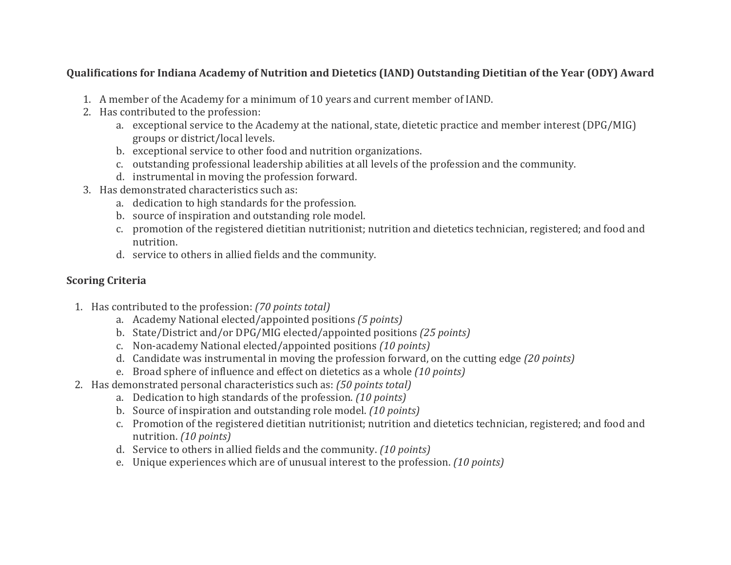## **Qualifications for Indiana Academy of Nutrition and Dietetics (IAND) Outstanding Dietitian of the Year (ODY) Award**

- 1. A member of the Academy for a minimum of 10 years and current member of IAND.
- 2. Has contributed to the profession:
	- a. exceptional service to the Academy at the national, state, dietetic practice and member interest (DPG/MIG) groups or district/local levels.
	- b. exceptional service to other food and nutrition organizations.
	- c. outstanding professional leadership abilities at all levels of the profession and the community.
	- d. instrumental in moving the profession forward.
- 3. Has demonstrated characteristics such as:
	- a. dedication to high standards for the profession.
	- b. source of inspiration and outstanding role model.
	- c. promotion of the registered dietitian nutritionist; nutrition and dietetics technician, registered; and food and nutrition.
	- d. service to others in allied fields and the community.

## **Scoring Criteria**

- 1. Has contributed to the profession: *(70 points total)*
	- a. Academy National elected/appointed positions *(5 points)*
	- b. State/District and/or DPG/MIG elected/appointed positions *(25 points)*
	- c. Non-academy National elected/appointed positions *(10 points)*
	- d. Candidate was instrumental in moving the profession forward, on the cutting edge *(20 points)*
	- e. Broad sphere of influence and effect on dietetics as a whole *(10 points)*
- 2. Has demonstrated personal characteristics such as: *(50 points total)*
	- a. Dedication to high standards of the profession. *(10 points)*
	- b. Source of inspiration and outstanding role model. *(10 points)*
	- c. Promotion of the registered dietitian nutritionist; nutrition and dietetics technician, registered; and food and nutrition. *(10 points)*
	- d. Service to others in allied fields and the community. *(10 points)*
	- e. Unique experiences which are of unusual interest to the profession. *(10 points)*